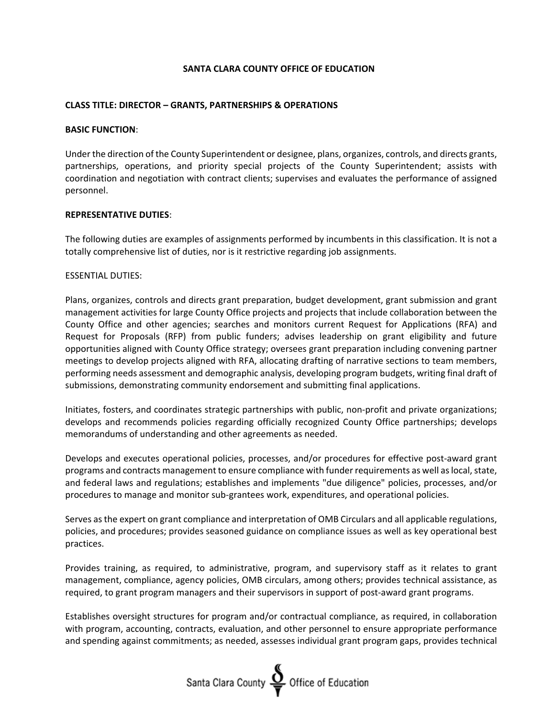### **SANTA CLARA COUNTY OFFICE OF EDUCATION**

### **CLASS TITLE: DIRECTOR – GRANTS, PARTNERSHIPS & OPERATIONS**

#### **BASIC FUNCTION**:

Under the direction of the County Superintendent or designee, plans, organizes, controls, and directs grants, partnerships, operations, and priority special projects of the County Superintendent; assists with coordination and negotiation with contract clients; supervises and evaluates the performance of assigned personnel.

#### **REPRESENTATIVE DUTIES**:

The following duties are examples of assignments performed by incumbents in this classification. It is not a totally comprehensive list of duties, nor is it restrictive regarding job assignments.

#### ESSENTIAL DUTIES:

Plans, organizes, controls and directs grant preparation, budget development, grant submission and grant management activities for large County Office projects and projects that include collaboration between the County Office and other agencies; searches and monitors current Request for Applications (RFA) and Request for Proposals (RFP) from public funders; advises leadership on grant eligibility and future opportunities aligned with County Office strategy; oversees grant preparation including convening partner meetings to develop projects aligned with RFA, allocating drafting of narrative sections to team members, performing needs assessment and demographic analysis, developing program budgets, writing final draft of submissions, demonstrating community endorsement and submitting final applications.

Initiates, fosters, and coordinates strategic partnerships with public, non‐profit and private organizations; develops and recommends policies regarding officially recognized County Office partnerships; develops memorandums of understanding and other agreements as needed.

Develops and executes operational policies, processes, and/or procedures for effective post-award grant programs and contracts management to ensure compliance with funder requirements as well as local, state, and federal laws and regulations; establishes and implements "due diligence" policies, processes, and/or procedures to manage and monitor sub‐grantees work, expenditures, and operational policies.

Serves asthe expert on grant compliance and interpretation of OMB Circulars and all applicable regulations, policies, and procedures; provides seasoned guidance on compliance issues as well as key operational best practices.

Provides training, as required, to administrative, program, and supervisory staff as it relates to grant management, compliance, agency policies, OMB circulars, among others; provides technical assistance, as required, to grant program managers and their supervisors in support of post-award grant programs.

Establishes oversight structures for program and/or contractual compliance, as required, in collaboration with program, accounting, contracts, evaluation, and other personnel to ensure appropriate performance and spending against commitments; as needed, assesses individual grant program gaps, provides technical

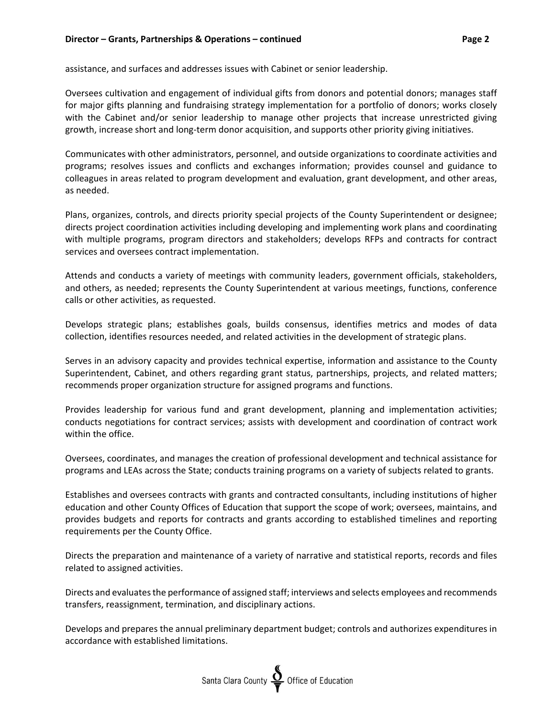#### **Director – Grants, Partnerships & Operations – continued Page 2**

assistance, and surfaces and addresses issues with Cabinet or senior leadership.

Oversees cultivation and engagement of individual gifts from donors and potential donors; manages staff for major gifts planning and fundraising strategy implementation for a portfolio of donors; works closely with the Cabinet and/or senior leadership to manage other projects that increase unrestricted giving growth, increase short and long‐term donor acquisition, and supports other priority giving initiatives.

Communicates with other administrators, personnel, and outside organizations to coordinate activities and programs; resolves issues and conflicts and exchanges information; provides counsel and guidance to colleagues in areas related to program development and evaluation, grant development, and other areas, as needed.

Plans, organizes, controls, and directs priority special projects of the County Superintendent or designee; directs project coordination activities including developing and implementing work plans and coordinating with multiple programs, program directors and stakeholders; develops RFPs and contracts for contract services and oversees contract implementation.

Attends and conducts a variety of meetings with community leaders, government officials, stakeholders, and others, as needed; represents the County Superintendent at various meetings, functions, conference calls or other activities, as requested.

Develops strategic plans; establishes goals, builds consensus, identifies metrics and modes of data collection, identifies resources needed, and related activities in the development of strategic plans.

Serves in an advisory capacity and provides technical expertise, information and assistance to the County Superintendent, Cabinet, and others regarding grant status, partnerships, projects, and related matters; recommends proper organization structure for assigned programs and functions.

Provides leadership for various fund and grant development, planning and implementation activities; conducts negotiations for contract services; assists with development and coordination of contract work within the office.

Oversees, coordinates, and manages the creation of professional development and technical assistance for programs and LEAs across the State; conducts training programs on a variety of subjects related to grants.

Establishes and oversees contracts with grants and contracted consultants, including institutions of higher education and other County Offices of Education that support the scope of work; oversees, maintains, and provides budgets and reports for contracts and grants according to established timelines and reporting requirements per the County Office.

Directs the preparation and maintenance of a variety of narrative and statistical reports, records and files related to assigned activities.

Directs and evaluates the performance of assigned staff; interviews and selects employees and recommends transfers, reassignment, termination, and disciplinary actions.

Develops and prepares the annual preliminary department budget; controls and authorizes expenditures in accordance with established limitations.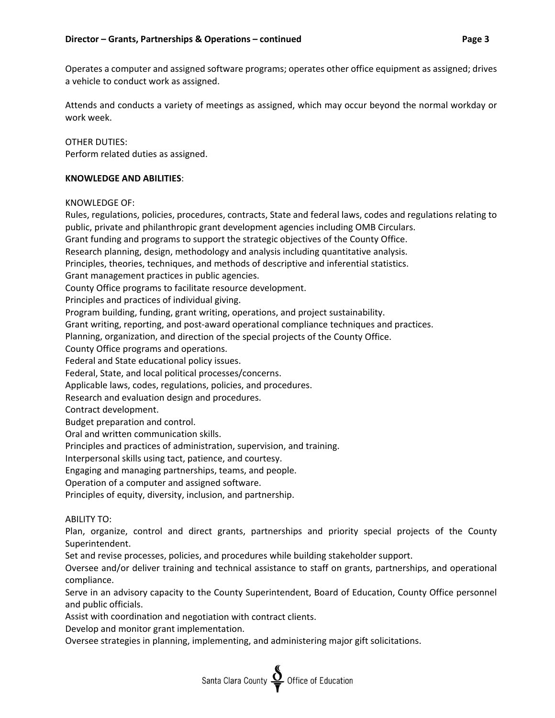Operates a computer and assigned software programs; operates other office equipment as assigned; drives a vehicle to conduct work as assigned.

Attends and conducts a variety of meetings as assigned, which may occur beyond the normal workday or work week.

# OTHER DUTIES:

Perform related duties as assigned.

# **KNOWLEDGE AND ABILITIES**:

### KNOWLEDGE OF:

Rules, regulations, policies, procedures, contracts, State and federal laws, codes and regulations relating to public, private and philanthropic grant development agencies including OMB Circulars.

Grant funding and programs to support the strategic objectives of the County Office.

Research planning, design, methodology and analysis including quantitative analysis.

Principles, theories, techniques, and methods of descriptive and inferential statistics.

Grant management practices in public agencies.

County Office programs to facilitate resource development.

Principles and practices of individual giving.

Program building, funding, grant writing, operations, and project sustainability.

Grant writing, reporting, and post‐award operational compliance techniques and practices.

Planning, organization, and direction of the special projects of the County Office.

County Office programs and operations.

Federal and State educational policy issues.

Federal, State, and local political processes/concerns.

Applicable laws, codes, regulations, policies, and procedures.

Research and evaluation design and procedures.

Contract development.

Budget preparation and control.

Oral and written communication skills.

Principles and practices of administration, supervision, and training.

Interpersonal skills using tact, patience, and courtesy.

Engaging and managing partnerships, teams, and people.

Operation of a computer and assigned software.

Principles of equity, diversity, inclusion, and partnership.

# ABILITY TO:

Plan, organize, control and direct grants, partnerships and priority special projects of the County Superintendent.

Set and revise processes, policies, and procedures while building stakeholder support.

Oversee and/or deliver training and technical assistance to staff on grants, partnerships, and operational compliance.

Serve in an advisory capacity to the County Superintendent, Board of Education, County Office personnel and public officials.

Assist with coordination and negotiation with contract clients.

Develop and monitor grant implementation.

Oversee strategies in planning, implementing, and administering major gift solicitations.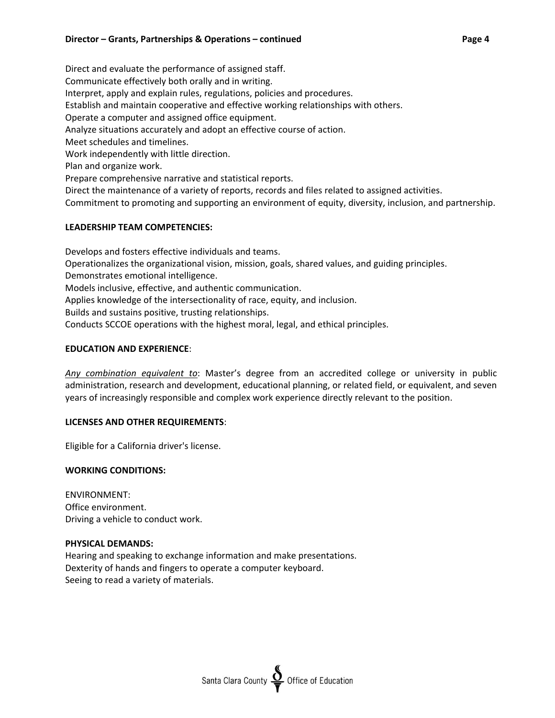Direct and evaluate the performance of assigned staff. Communicate effectively both orally and in writing. Interpret, apply and explain rules, regulations, policies and procedures. Establish and maintain cooperative and effective working relationships with others. Operate a computer and assigned office equipment. Analyze situations accurately and adopt an effective course of action. Meet schedules and timelines. Work independently with little direction. Plan and organize work. Prepare comprehensive narrative and statistical reports. Direct the maintenance of a variety of reports, records and files related to assigned activities. Commitment to promoting and supporting an environment of equity, diversity, inclusion, and partnership.

# **LEADERSHIP TEAM COMPETENCIES:**

 Develops and fosters effective individuals and teams. Operationalizes the organizational vision, mission, goals, shared values, and guiding principles. Demonstrates emotional intelligence. Models inclusive, effective, and authentic communication. Applies knowledge of the intersectionality of race, equity, and inclusion. Builds and sustains positive, trusting relationships. Conducts SCCOE operations with the highest moral, legal, and ethical principles. **EDUCATION AND EXPERIENCE**:

*Any combination equivalent to*: Master's degree from an accredited college or university in public administration, research and development, educational planning, or related field, or equivalent, and seven years of increasingly responsible and complex work experience directly relevant to the position.

# **LICENSES AND OTHER REQUIREMENTS**:

Eligible for a California driver's license.

# **WORKING CONDITIONS:**

ENVIRONMENT: Office environment. Driving a vehicle to conduct work.

#### **PHYSICAL DEMANDS:**

Hearing and speaking to exchange information and make presentations. Dexterity of hands and fingers to operate a computer keyboard. Seeing to read a variety of materials.